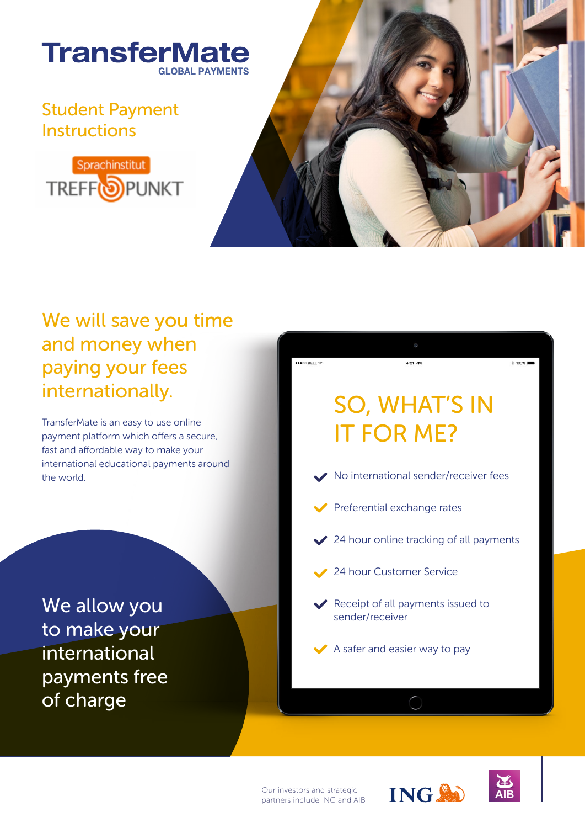

## Student Payment **Instructions**





## We will save you time and money when paying your fees internationally.

TransferMate is an easy to use online payment platform which offers a secure, fast and affordable way to make your international educational payments around the world.

We allow you to make your international payments free of charge



Our investors and strategic partners include ING and AIB